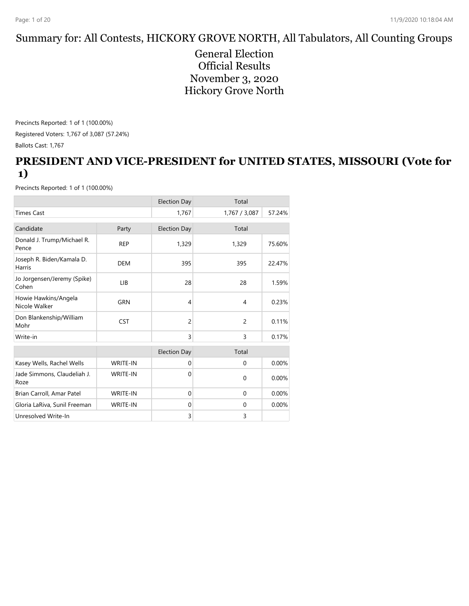#### Summary for: All Contests, HICKORY GROVE NORTH, All Tabulators, All Counting Groups

General Election Official Results November 3, 2020 Hickory Grove North

Precincts Reported: 1 of 1 (100.00%) Registered Voters: 1,767 of 3,087 (57.24%) Ballots Cast: 1,767

#### **PRESIDENT AND VICE-PRESIDENT for UNITED STATES, MISSOURI (Vote for 1)**

|                                       |                 | <b>Election Day</b> | Total          |        |
|---------------------------------------|-----------------|---------------------|----------------|--------|
| <b>Times Cast</b>                     |                 | 1,767               | 1,767 / 3,087  | 57.24% |
| Candidate                             | Party           | <b>Election Day</b> | Total          |        |
| Donald J. Trump/Michael R.<br>Pence   | <b>REP</b>      | 1,329               | 1,329          | 75.60% |
| Joseph R. Biden/Kamala D.<br>Harris   | <b>DEM</b>      | 395                 | 395            | 22.47% |
| Jo Jorgensen/Jeremy (Spike)<br>Cohen  | LIB             | 28                  | 28             | 1.59%  |
| Howie Hawkins/Angela<br>Nicole Walker | <b>GRN</b>      | 4                   | $\overline{4}$ | 0.23%  |
| Don Blankenship/William<br>Mohr       | <b>CST</b>      | $\overline{c}$      | $\overline{2}$ | 0.11%  |
| Write-in                              |                 | $\overline{3}$      | $\overline{3}$ | 0.17%  |
|                                       |                 | <b>Election Day</b> | Total          |        |
| Kasey Wells, Rachel Wells             | <b>WRITE-IN</b> | $\mathbf{0}$        | $\mathbf{0}$   | 0.00%  |
| Jade Simmons, Claudeliah J.<br>Roze   | <b>WRITE-IN</b> | $\Omega$            | $\Omega$       | 0.00%  |
| Brian Carroll, Amar Patel             | <b>WRITE-IN</b> | $\Omega$            | $\mathbf{0}$   | 0.00%  |
| Gloria LaRiva, Sunil Freeman          | <b>WRITE-IN</b> | $\mathbf{0}$        | $\Omega$       | 0.00%  |
| Unresolved Write-In                   |                 | 3                   | 3              |        |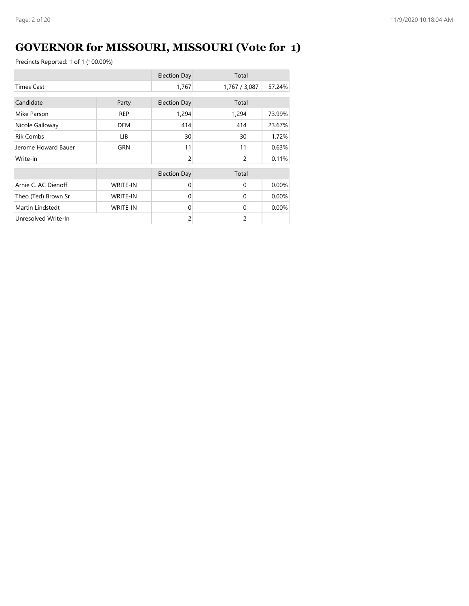# **GOVERNOR for MISSOURI, MISSOURI (Vote for 1)**

|                     |                 | <b>Election Day</b> | Total          |        |
|---------------------|-----------------|---------------------|----------------|--------|
| <b>Times Cast</b>   |                 | 1,767               | 1,767 / 3,087  | 57.24% |
| Candidate           | Party           | <b>Election Day</b> | Total          |        |
| Mike Parson         | <b>REP</b>      | 1,294               | 1,294          | 73.99% |
| Nicole Galloway     | <b>DEM</b>      | 414                 | 414            | 23.67% |
| <b>Rik Combs</b>    | LIB.            | 30                  | 30             | 1.72%  |
| Jerome Howard Bauer | GRN             | 11                  | 11             | 0.63%  |
| Write-in            |                 | $\overline{2}$      | $\overline{c}$ | 0.11%  |
|                     |                 | <b>Election Day</b> | Total          |        |
| Arnie C. AC Dienoff | <b>WRITE-IN</b> | $\Omega$            | $\Omega$       | 0.00%  |
| Theo (Ted) Brown Sr | <b>WRITE-IN</b> | $\Omega$            | $\Omega$       | 0.00%  |
| Martin Lindstedt    | <b>WRITE-IN</b> | $\Omega$            | $\Omega$       | 0.00%  |
| Unresolved Write-In |                 | $\overline{2}$      | $\overline{c}$ |        |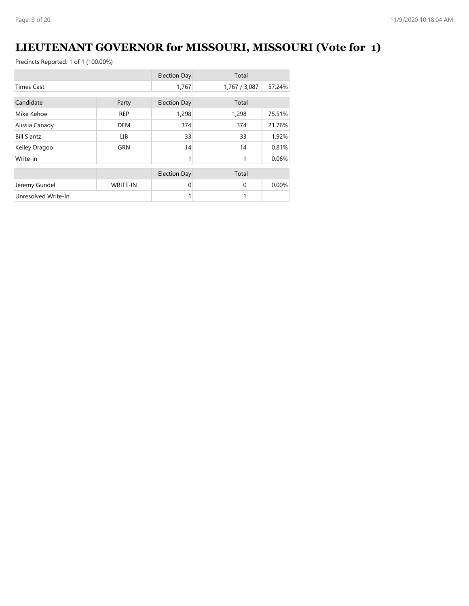# **LIEUTENANT GOVERNOR for MISSOURI, MISSOURI (Vote for 1)**

|                     |                 | <b>Election Day</b> | Total         |        |
|---------------------|-----------------|---------------------|---------------|--------|
| <b>Times Cast</b>   |                 | 1,767               | 1,767 / 3,087 | 57.24% |
| Candidate           |                 |                     |               |        |
|                     | Party           | <b>Election Day</b> | Total         |        |
| Mike Kehoe          | <b>REP</b>      | 1,298               | 1,298         | 75.51% |
| Alissia Canady      | <b>DEM</b>      | 374                 | 374           | 21.76% |
| <b>Bill Slantz</b>  | LIB             | 33                  | 33            | 1.92%  |
| Kelley Dragoo       | <b>GRN</b>      | 14                  | 14            | 0.81%  |
| Write-in            |                 | 1                   | 1             | 0.06%  |
|                     |                 | <b>Election Day</b> | Total         |        |
|                     |                 |                     |               |        |
| Jeremy Gundel       | <b>WRITE-IN</b> | $\Omega$            | $\Omega$      | 0.00%  |
| Unresolved Write-In |                 | 1                   | 1             |        |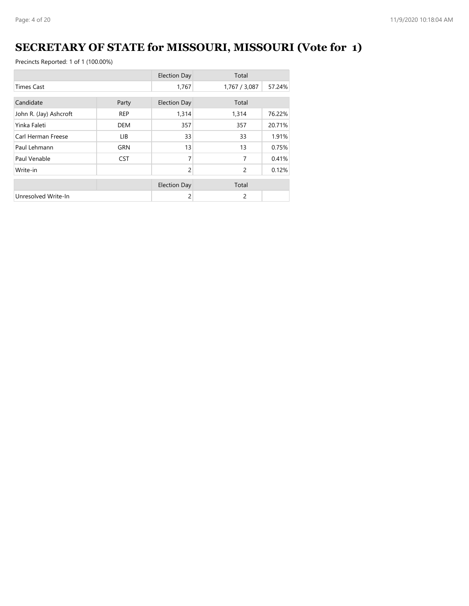# **SECRETARY OF STATE for MISSOURI, MISSOURI (Vote for 1)**

|                        |            | <b>Election Day</b> | Total         |        |
|------------------------|------------|---------------------|---------------|--------|
| <b>Times Cast</b>      |            | 1,767               | 1,767 / 3,087 | 57.24% |
| Candidate              | Party      | <b>Election Day</b> | Total         |        |
| John R. (Jay) Ashcroft | <b>REP</b> | 1,314               | 1,314         | 76.22% |
| Yinka Faleti           | <b>DEM</b> | 357                 | 357           | 20.71% |
| Carl Herman Freese     | LIB.       | 33                  | 33            | 1.91%  |
| Paul Lehmann           | GRN        | 13                  | 13            | 0.75%  |
| Paul Venable           | <b>CST</b> | 7                   | 7             | 0.41%  |
| Write-in               |            | 2                   | 2             | 0.12%  |
|                        |            | <b>Election Day</b> | Total         |        |
| Unresolved Write-In    |            | 2                   | 2             |        |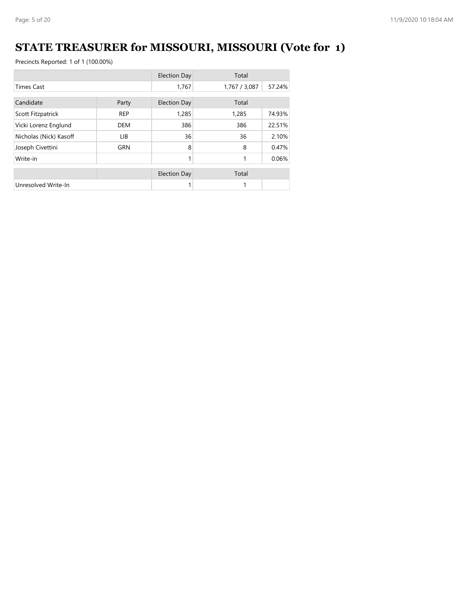# **STATE TREASURER for MISSOURI, MISSOURI (Vote for 1)**

|                        |            | <b>Election Day</b> | Total         |        |
|------------------------|------------|---------------------|---------------|--------|
| <b>Times Cast</b>      |            | 1,767               | 1,767 / 3,087 | 57.24% |
| Candidate<br>Party     |            | <b>Election Day</b> | Total         |        |
| Scott Fitzpatrick      | <b>REP</b> | 1,285               | 1,285         | 74.93% |
| Vicki Lorenz Englund   | <b>DEM</b> | 386                 | 386           | 22.51% |
| Nicholas (Nick) Kasoff | LIB.       | 36                  | 36            | 2.10%  |
| Joseph Civettini       | <b>GRN</b> | 8                   | 8             | 0.47%  |
| Write-in               |            | 1                   | 1             | 0.06%  |
|                        |            | <b>Election Day</b> | Total         |        |
| Unresolved Write-In    |            | 1                   |               |        |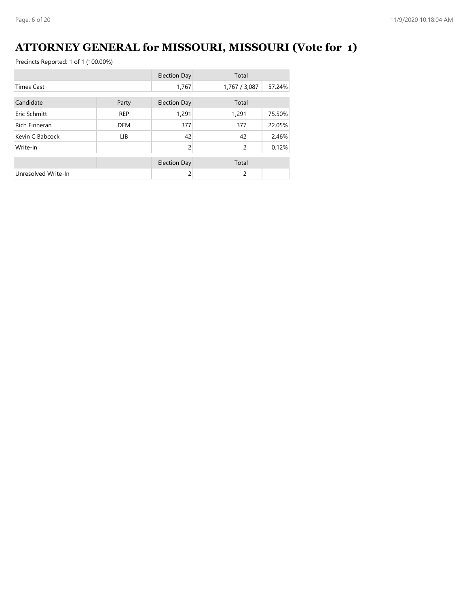# **ATTORNEY GENERAL for MISSOURI, MISSOURI (Vote for 1)**

|                      |            | <b>Election Day</b> | Total         |        |
|----------------------|------------|---------------------|---------------|--------|
| <b>Times Cast</b>    |            | 1,767               | 1,767 / 3,087 | 57.24% |
| Candidate            | Party      | <b>Election Day</b> | Total         |        |
| Eric Schmitt         | <b>REP</b> | 1,291               | 1,291         | 75.50% |
| <b>Rich Finneran</b> | <b>DEM</b> | 377                 | 377           | 22.05% |
| Kevin C Babcock      | LIB.       | 42                  | 42            | 2.46%  |
| Write-in             |            | $\overline{c}$      | 2             | 0.12%  |
|                      |            | <b>Election Day</b> | Total         |        |
| Unresolved Write-In  |            | 2                   | 2             |        |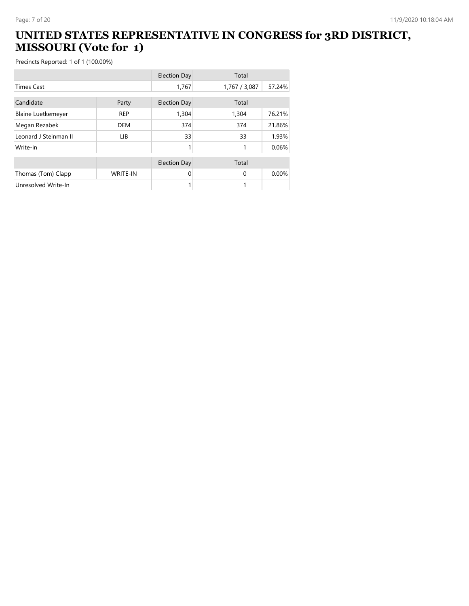#### **UNITED STATES REPRESENTATIVE IN CONGRESS for 3RD DISTRICT, MISSOURI (Vote for 1)**

|                           |                 | <b>Election Day</b> | Total         |        |
|---------------------------|-----------------|---------------------|---------------|--------|
| <b>Times Cast</b>         |                 | 1,767               | 1,767 / 3,087 | 57.24% |
| Candidate                 | Party           | <b>Election Day</b> | Total         |        |
| <b>Blaine Luetkemeyer</b> | <b>REP</b>      | 1,304               | 1,304         | 76.21% |
| Megan Rezabek             | <b>DEM</b>      | 374                 | 374           | 21.86% |
| Leonard J Steinman II     | <b>LIB</b>      | 33                  | 33            | 1.93%  |
| Write-in                  |                 | 1                   |               | 0.06%  |
|                           |                 | <b>Election Day</b> | Total         |        |
| Thomas (Tom) Clapp        | <b>WRITE-IN</b> | 0                   | $\Omega$      | 0.00%  |
| Unresolved Write-In       |                 |                     |               |        |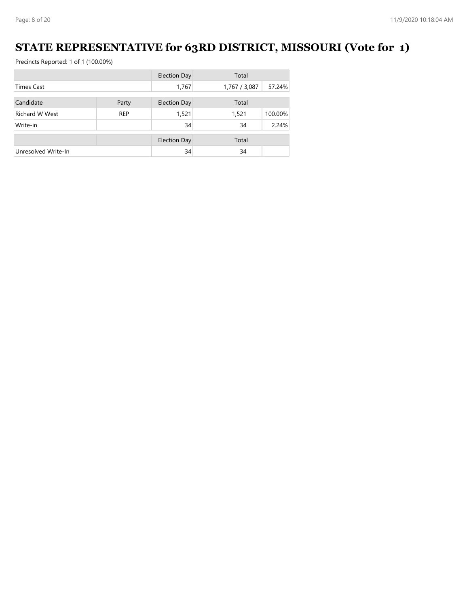#### **STATE REPRESENTATIVE for 63RD DISTRICT, MISSOURI (Vote for 1)**

|                       |            | <b>Election Day</b> | Total         |         |
|-----------------------|------------|---------------------|---------------|---------|
| <b>Times Cast</b>     |            | 1,767               | 1,767 / 3,087 | 57.24%  |
| Candidate             | Party      | <b>Election Day</b> | Total         |         |
|                       |            |                     |               |         |
| <b>Richard W West</b> | <b>REP</b> | 1,521               | 1,521         | 100.00% |
| Write-in              |            | 34                  | 34            | 2.24%   |
|                       |            | <b>Election Day</b> | Total         |         |
| Unresolved Write-In   |            | 34                  | 34            |         |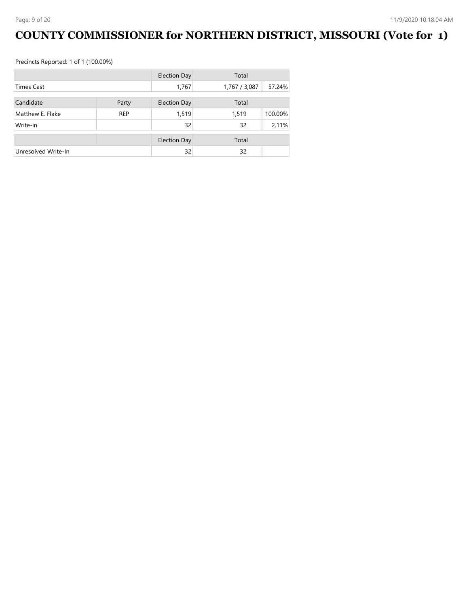# **COUNTY COMMISSIONER for NORTHERN DISTRICT, MISSOURI (Vote for 1)**

|                     |            | <b>Election Day</b> | Total         |         |
|---------------------|------------|---------------------|---------------|---------|
| <b>Times Cast</b>   |            | 1,767               | 1,767 / 3,087 | 57.24%  |
| Candidate           | Party      | <b>Election Day</b> | Total         |         |
| Matthew E. Flake    | <b>REP</b> | 1,519               | 1,519         | 100.00% |
|                     |            |                     |               |         |
| Write-in            |            | 32                  | 32            | 2.11%   |
|                     |            | <b>Election Day</b> | Total         |         |
| Unresolved Write-In |            | 32                  | 32            |         |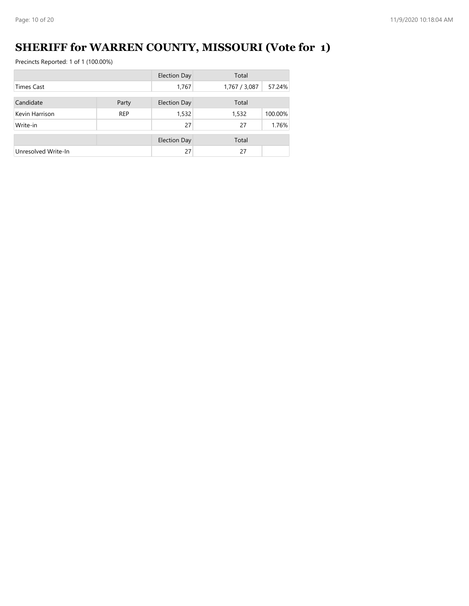# **SHERIFF for WARREN COUNTY, MISSOURI (Vote for 1)**

|                     |            | <b>Election Day</b> | Total         |         |
|---------------------|------------|---------------------|---------------|---------|
| <b>Times Cast</b>   |            | 1,767               | 1,767 / 3,087 | 57.24%  |
| Candidate           | Party      | <b>Election Day</b> | Total         |         |
| Kevin Harrison      | <b>REP</b> | 1,532               | 1,532         | 100.00% |
| Write-in            |            | 27                  | 27            | 1.76%   |
|                     |            | <b>Election Day</b> | Total         |         |
| Unresolved Write-In |            | 27                  | 27            |         |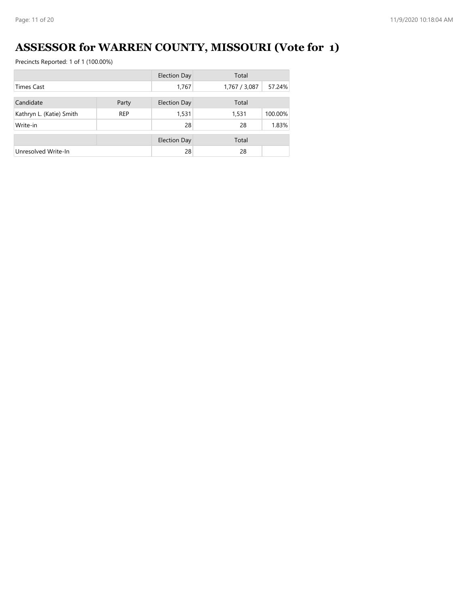# **ASSESSOR for WARREN COUNTY, MISSOURI (Vote for 1)**

|                          |            | <b>Election Day</b> | Total         |         |
|--------------------------|------------|---------------------|---------------|---------|
| <b>Times Cast</b>        |            | 1,767               | 1,767 / 3,087 | 57.24%  |
| Candidate                | Party      | <b>Election Day</b> | Total         |         |
| Kathryn L. (Katie) Smith | <b>REP</b> | 1,531               | 1,531         | 100.00% |
| Write-in                 |            | 28                  | 28            | 1.83%   |
|                          |            |                     |               |         |
|                          |            | <b>Election Day</b> | Total         |         |
| Unresolved Write-In      |            | 28                  | 28            |         |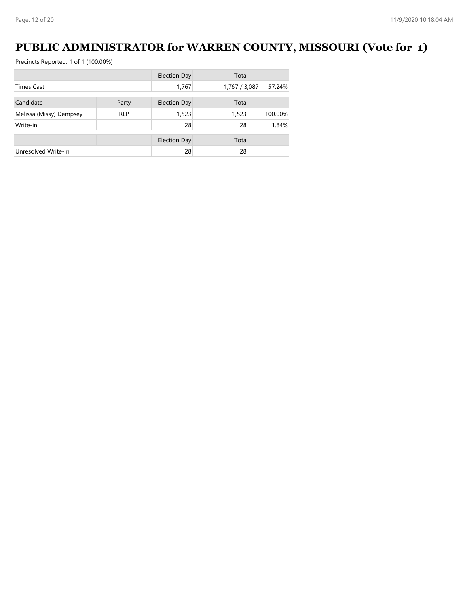#### **PUBLIC ADMINISTRATOR for WARREN COUNTY, MISSOURI (Vote for 1)**

|                         |            | <b>Election Day</b> | Total         |         |
|-------------------------|------------|---------------------|---------------|---------|
| <b>Times Cast</b>       |            | 1,767               | 1,767 / 3,087 | 57.24%  |
| Candidate               | Party      | <b>Election Day</b> | Total         |         |
|                         |            |                     |               |         |
| Melissa (Missy) Dempsey | <b>REP</b> | 1,523               | 1,523         | 100.00% |
| Write-in                |            | 28                  | 28            | 1.84%   |
|                         |            | <b>Election Day</b> | Total         |         |
|                         |            |                     |               |         |
| Unresolved Write-In     |            | 28                  | 28            |         |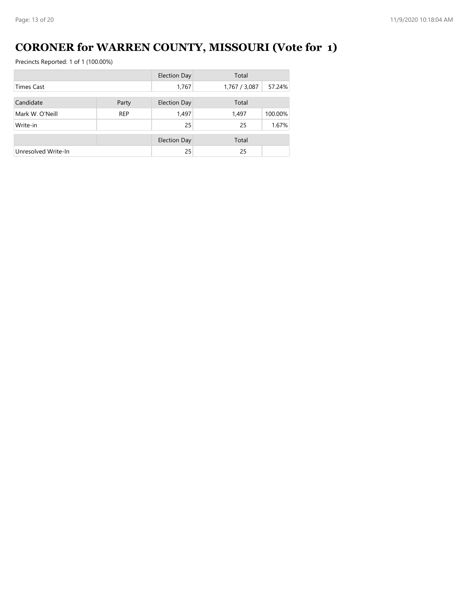# **CORONER for WARREN COUNTY, MISSOURI (Vote for 1)**

|                     |            | <b>Election Day</b> | Total         |         |
|---------------------|------------|---------------------|---------------|---------|
| <b>Times Cast</b>   |            | 1,767               | 1,767 / 3,087 | 57.24%  |
| Candidate           | Party      | <b>Election Day</b> | Total         |         |
|                     |            |                     |               |         |
| Mark W. O'Neill     | <b>REP</b> | 1,497               | 1,497         | 100.00% |
| Write-in            |            | 25                  | 25            | 1.67%   |
|                     |            | <b>Election Day</b> | Total         |         |
| Unresolved Write-In |            | 25                  | 25            |         |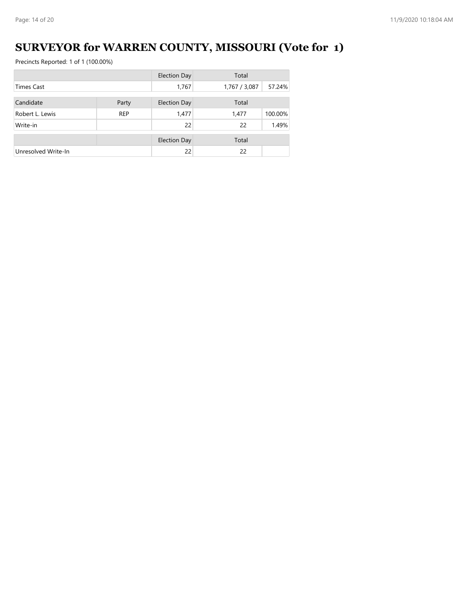# **SURVEYOR for WARREN COUNTY, MISSOURI (Vote for 1)**

|                     |            | <b>Election Day</b> | Total         |         |
|---------------------|------------|---------------------|---------------|---------|
| <b>Times Cast</b>   |            | 1,767               | 1,767 / 3,087 | 57.24%  |
| Candidate           | Party      | <b>Election Day</b> | Total         |         |
| Robert L. Lewis     | <b>REP</b> | 1,477               | 1.477         | 100.00% |
| Write-in            |            | 22                  | 22            | 1.49%   |
|                     |            | <b>Election Day</b> | Total         |         |
| Unresolved Write-In |            | 22                  | 22            |         |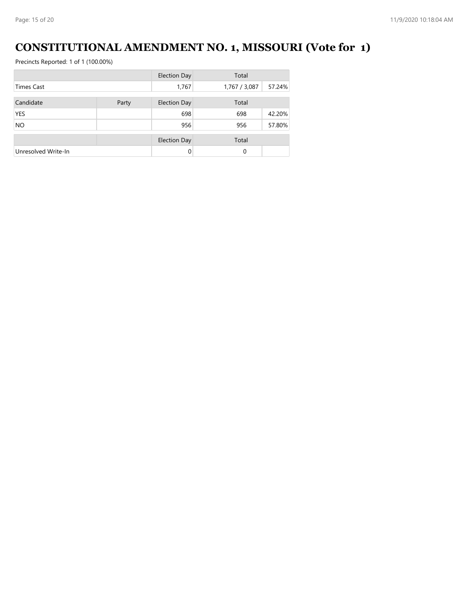#### **CONSTITUTIONAL AMENDMENT NO. 1, MISSOURI (Vote for 1)**

|                     |       | <b>Election Day</b> | Total         |        |
|---------------------|-------|---------------------|---------------|--------|
| <b>Times Cast</b>   |       | 1,767               | 1,767 / 3,087 | 57.24% |
| Candidate           | Party | <b>Election Day</b> | Total         |        |
| <b>YES</b>          |       | 698                 | 698           | 42.20% |
| <b>NO</b>           |       | 956                 | 956           | 57.80% |
|                     |       | <b>Election Day</b> | Total         |        |
| Unresolved Write-In |       | $\Omega$            | 0             |        |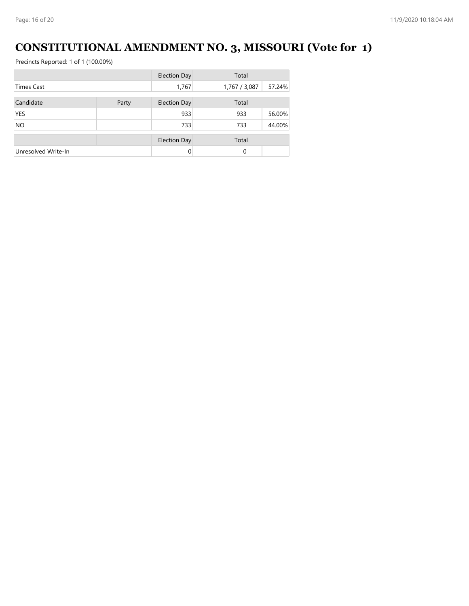# **CONSTITUTIONAL AMENDMENT NO. 3, MISSOURI (Vote for 1)**

|                     |       | <b>Election Day</b> | Total         |        |
|---------------------|-------|---------------------|---------------|--------|
| <b>Times Cast</b>   |       | 1,767               | 1,767 / 3,087 | 57.24% |
| Candidate           | Party | <b>Election Day</b> | Total         |        |
| <b>YES</b>          |       | 933                 | 933           | 56.00% |
| <b>NO</b>           |       | 733                 | 733           | 44.00% |
|                     |       | <b>Election Day</b> | Total         |        |
| Unresolved Write-In |       | $\Omega$            | $\Omega$      |        |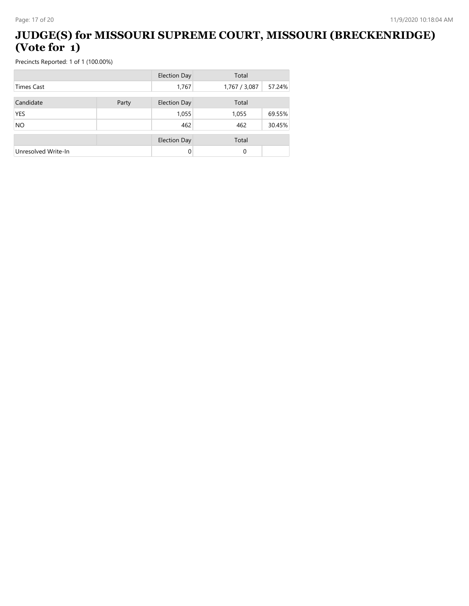#### **JUDGE(S) for MISSOURI SUPREME COURT, MISSOURI (BRECKENRIDGE) (Vote for 1)**

|                     |       | <b>Election Day</b> | Total         |        |
|---------------------|-------|---------------------|---------------|--------|
| <b>Times Cast</b>   |       | 1,767               | 1,767 / 3,087 | 57.24% |
| Candidate           | Party | <b>Election Day</b> | Total         |        |
| <b>YES</b>          |       | 1,055               | 1,055         | 69.55% |
| <b>NO</b>           |       | 462                 | 462           | 30.45% |
|                     |       | <b>Election Day</b> | Total         |        |
| Unresolved Write-In |       | 0                   | 0             |        |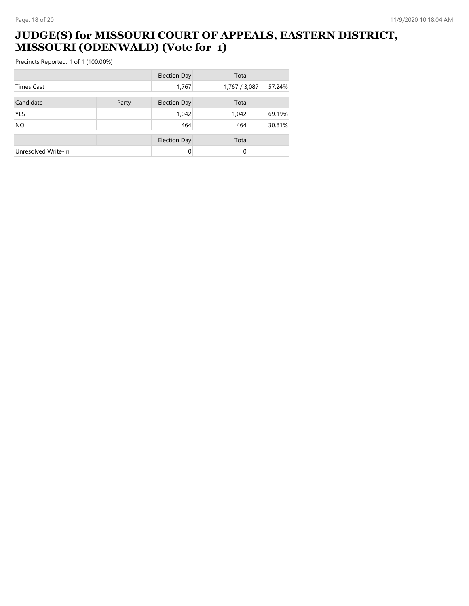#### **JUDGE(S) for MISSOURI COURT OF APPEALS, EASTERN DISTRICT, MISSOURI (ODENWALD) (Vote for 1)**

|                     |       | <b>Election Day</b> | Total         |        |
|---------------------|-------|---------------------|---------------|--------|
| <b>Times Cast</b>   |       | 1,767               | 1,767 / 3,087 | 57.24% |
| Candidate           | Party | <b>Election Day</b> | Total         |        |
| <b>YES</b>          |       | 1,042               | 1,042         | 69.19% |
| <b>NO</b>           |       | 464                 | 464           | 30.81% |
|                     |       | <b>Election Day</b> | Total         |        |
| Unresolved Write-In |       | $\Omega$            | 0             |        |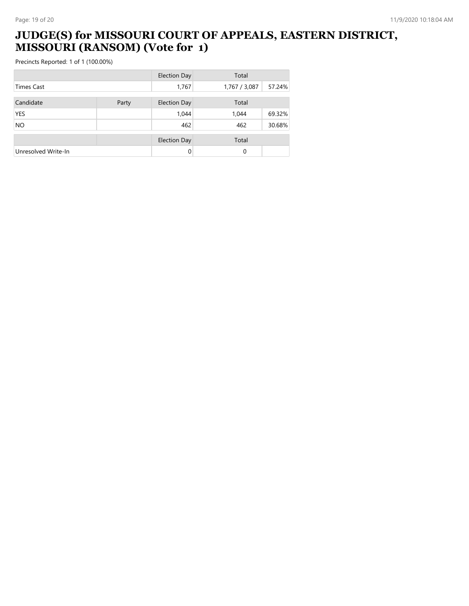#### **JUDGE(S) for MISSOURI COURT OF APPEALS, EASTERN DISTRICT, MISSOURI (RANSOM) (Vote for 1)**

|                     |       | <b>Election Day</b> | Total         |        |
|---------------------|-------|---------------------|---------------|--------|
| <b>Times Cast</b>   |       | 1,767               | 1,767 / 3,087 | 57.24% |
| Candidate           | Party | <b>Election Day</b> | Total         |        |
| <b>YES</b>          |       | 1,044               | 1,044         | 69.32% |
| <b>NO</b>           |       | 462                 | 462           | 30.68% |
|                     |       | <b>Election Day</b> | Total         |        |
| Unresolved Write-In |       | $\Omega$            | 0             |        |